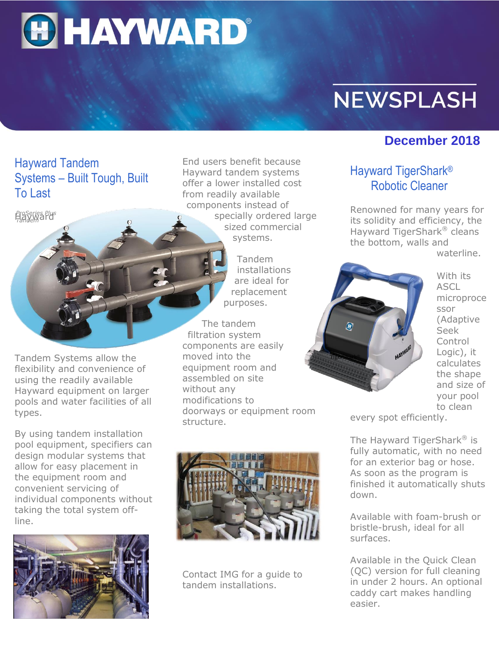**HAYWARD®** 

# **NEWSPLASH**

# Hayward Tandem Systems – Built Tough, Built To Last

Hayward *ProSeries Plus Tandem*

Tandem Systems allow the flexibility and convenience of using the readily available Hayward equipment on larger pools and water facilities of all types.

By using tandem installation pool equipment, specifiers can design modular systems that allow for easy placement in the equipment room and convenient servicing of individual components without taking the total system offline.



End users benefit because Hayward tandem systems offer a lower installed cost from readily available components instead of specially ordered large sized commercial systems.

> Tandem installations are ideal for replacement purposes.

The tandem filtration system components are easily moved into the equipment room and assembled on site without any modifications to doorways or equipment room structure.



Contact IMG for a guide to tandem installations.

#### **December 2018**

#### Hayward TigerShark® Robotic Cleaner

Renowned for many years for its solidity and efficiency, the Hayward TigerShark® cleans the bottom, walls and waterline.



With its **ASCL** microproce ssor (Adaptive Seek Control Logic), it calculates the shape and size of your pool to clean

every spot efficiently.

The Hayward TigerShark<sup>®</sup> is fully automatic, with no need for an exterior bag or hose. As soon as the program is finished it automatically shuts down.

Available with foam-brush or bristle-brush, ideal for all surfaces.

Available in the Quick Clean (QC) version for full cleaning in under 2 hours. An optional caddy cart makes handling easier.